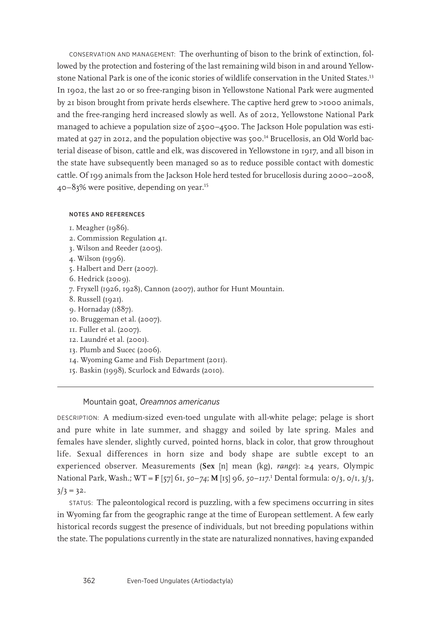CONSERVATION AND MANAGEMENT: The overhunting of bison to the brink of extinction, followed by the protection and fostering of the last remaining wild bison in and around Yellowstone National Park is one of the iconic stories of wildlife conservation in the United States.13 In 1902, the last 20 or so free-ranging bison in Yellowstone National Park were augmented by 21 bison brought from private herds elsewhere. The captive herd grew to >1000 animals, and the free-ranging herd increased slowly as well. As of 2012, Yellowstone National Park managed to achieve a population size of 2500–4500. The Jackson Hole population was estimated at 927 in 2012, and the population objective was 500.<sup>14</sup> Brucellosis, an Old World bacterial disease of bison, cattle and elk, was discovered in Yellowstone in 1917, and all bison in the state have subsequently been managed so as to reduce possible contact with domestic cattle. Of 199 animals from the Jackson Hole herd tested for brucellosis during 2000–2008, 40–83% were positive, depending on year.15

## NOTES AND REFERENCES

- 1. Meagher (1986).
- 2. Commission Regulation 41.
- 3. Wilson and Reeder (2005).
- 4. Wilson (1996).
- 5. Halbert and Derr (2007).
- 6. Hedrick (2009).
- 7. Fryxell (1926, 1928), Cannon (2007), author for Hunt Mountain.
- 8. Russell (1921).
- 9. Hornaday (1887).
- 10. Bruggeman et al. (2007).
- 11. Fuller et al. (2007).
- 12. Laundré et al. (2001).
- 13. Plumb and Sucec (2006).
- 14. Wyoming Game and Fish Department (2011).
- 15. Baskin (1998), Scurlock and Edwards (2010).

## Mountain goat, *Oreamnos americanus*

DESCRIPTION: A medium-sized even-toed ungulate with all-white pelage; pelage is short and pure white in late summer, and shaggy and soiled by late spring. Males and females have slender, slightly curved, pointed horns, black in color, that grow throughout life. Sexual differences in horn size and body shape are subtle except to an experienced observer. Measurements (**Sex** [n] mean (kg), *range*): ≥4 years, Olympic National Park, Wash.; WT = **F** [57] 61, *50*–*74*; **M** [15] 96, *50*–*117*. 1 Dental formula: 0/3, 0/1, 3/3,  $3/3 = 32.$ 

STATUS: The paleontological record is puzzling, with a few specimens occurring in sites in Wyoming far from the geographic range at the time of European settlement. A few early historical records suggest the presence of individuals, but not breeding populations within the state. The populations currently in the state are naturalized nonnatives, having expanded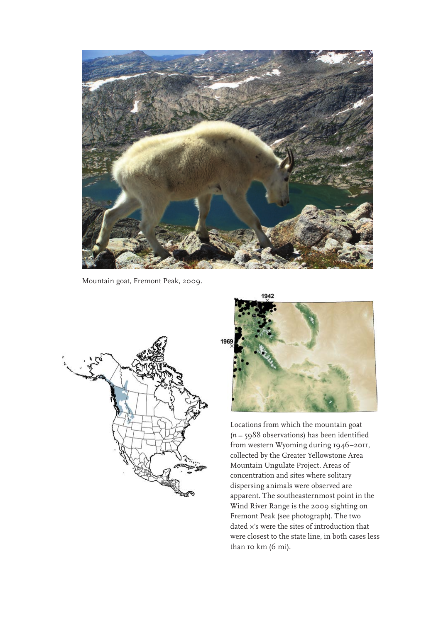

Mountain goat, Fremont Peak, 2009.





Locations from which the mountain goat (*n* = 5988 observations) has been identified from western Wyoming during 1946–2011, collected by the Greater Yellowstone Area Mountain Ungulate Project. Areas of concentration and sites where solitary dispersing animals were observed are apparent. The southeasternmost point in the Wind River Range is the 2009 sighting on Fremont Peak (see photograph). The two dated ×'s were the sites of introduction that were closest to the state line, in both cases less than 10 km (6 mi).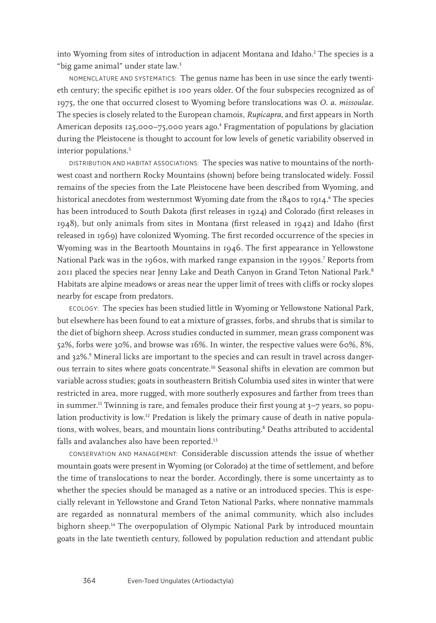into Wyoming from sites of introduction in adjacent Montana and Idaho.<sup>2</sup> The species is a "big game animal" under state law.<sup>3</sup>

NOMENCLATURE AND SYSTEMATICS: The genus name has been in use since the early twentieth century; the specific epithet is 100 years older. Of the four subspecies recognized as of 1975, the one that occurred closest to Wyoming before translocations was *O. a. missoulae*. The species is closely related to the European chamois, *Rupicapra*, and first appears in North American deposits 125,000–75,000 years ago.<sup>4</sup> Fragmentation of populations by glaciation during the Pleistocene is thought to account for low levels of genetic variability observed in interior populations.<sup>5</sup>

DISTRIBUTION AND HABITAT ASSOCIATIONS: The species was native to mountains of the northwest coast and northern Rocky Mountains (shown) before being translocated widely. Fossil remains of the species from the Late Pleistocene have been described from Wyoming, and historical anecdotes from westernmost Wyoming date from the 1840s to 1914.<sup>6</sup> The species has been introduced to South Dakota (first releases in 1924) and Colorado (first releases in 1948), but only animals from sites in Montana (first released in 1942) and Idaho (first released in 1969) have colonized Wyoming. The first recorded occurrence of the species in Wyoming was in the Beartooth Mountains in 1946. The first appearance in Yellowstone National Park was in the 1960s, with marked range expansion in the 1990s.<sup>7</sup> Reports from 2011 placed the species near Jenny Lake and Death Canyon in Grand Teton National Park.<sup>8</sup> Habitats are alpine meadows or areas near the upper limit of trees with cliffs or rocky slopes nearby for escape from predators.

ECOLOGY: The species has been studied little in Wyoming or Yellowstone National Park, but elsewhere has been found to eat a mixture of grasses, forbs, and shrubs that is similar to the diet of bighorn sheep. Across studies conducted in summer, mean grass component was 52%, forbs were 30%, and browse was 16%. In winter, the respective values were 60%, 8%, and 32%.º Mineral licks are important to the species and can result in travel across dangerous terrain to sites where goats concentrate.10 Seasonal shifts in elevation are common but variable across studies; goats in southeastern British Columbia used sites in winter that were restricted in area, more rugged, with more southerly exposures and farther from trees than in summer.<sup>11</sup> Twinning is rare, and females produce their first young at 3-7 years, so population productivity is low.12 Predation is likely the primary cause of death in native populations, with wolves, bears, and mountain lions contributing.<sup>8</sup> Deaths attributed to accidental falls and avalanches also have been reported.<sup>13</sup>

CONSERVATION AND MANAGEMENT: Considerable discussion attends the issue of whether mountain goats were present in Wyoming (or Colorado) at the time of settlement, and before the time of translocations to near the border. Accordingly, there is some uncertainty as to whether the species should be managed as a native or an introduced species. This is especially relevant in Yellowstone and Grand Teton National Parks, where nonnative mammals are regarded as nonnatural members of the animal community, which also includes bighorn sheep.14 The overpopulation of Olympic National Park by introduced mountain goats in the late twentieth century, followed by population reduction and attendant public